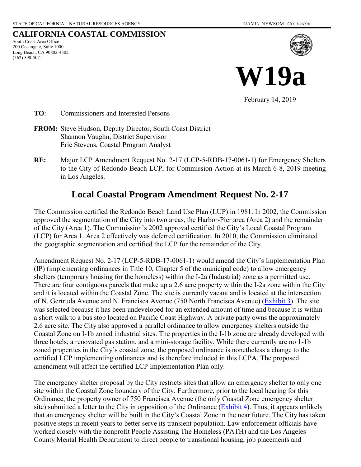#### **CALIFORNIA COASTAL COMMISSION**

South Coast Area Office 200 Oceangate, Suite 1000 Long Beach, CA 90802-4302 (562) 590-5071



**W19a**

February 14, 2019

**TO**: Commissioners and Interested Persons

- **FROM:** Steve Hudson, Deputy Director, South Coast District Shannon Vaughn, District Supervisor Eric Stevens, Coastal Program Analyst
- **RE:** Major LCP Amendment Request No. 2-17 (LCP-5-RDB-17-0061-1) for Emergency Shelters to the City of Redondo Beach LCP, for Commission Action at its March 6-8, 2019 meeting in Los Angeles.

## **Local Coastal Program Amendment Request No. 2-17**

The Commission certified the Redondo Beach Land Use Plan (LUP) in 1981. In 2002, the Commission approved the segmentation of the City into two areas, the Harbor-Pier area (Area 2) and the remainder of the City (Area 1). The Commission's 2002 approval certified the City's Local Coastal Program (LCP) for Area 1. Area 2 effectively was deferred certification. In 2010, the Commission eliminated the geographic segmentation and certified the LCP for the remainder of the City.

Amendment Request No. 2-17 (LCP-5-RDB-17-0061-1) would amend the City's Implementation Plan (IP) (implementing ordinances in Title 10, Chapter 5 of the municipal code) to allow emergency shelters (temporary housing for the homeless) within the I-2a (Industrial) zone as a permitted use. There are four contiguous parcels that make up a 2.6 acre property within the I-2a zone within the City and it is located within the Coastal Zone. The site is currently vacant and is located at the intersection of N. Gertruda Avenue and N. Francisca Avenue (750 North Francisca Avenue) [\(Exhibit 3\)](https://documents.coastal.ca.gov/reports/2019/3/W19a/W19a-3-2019-exhibits.pdf). The site was selected because it has been undeveloped for an extended amount of time and because it is within a short walk to a bus stop located on Pacific Coast Highway. A private party owns the approximately 2.6 acre site. The City also approved a parallel ordinance to allow emergency shelters outside the Coastal Zone on I-1b zoned industrial sites. The properties in the I-1b zone are already developed with three hotels, a renovated gas station, and a mini-storage facility. While there currently are no 1-1b zoned properties in the City's coastal zone, the proposed ordinance is nonetheless a change to the certified LCP implementing ordinances and is therefore included in this LCPA. The proposed amendment will affect the certified LCP Implementation Plan only.

The emergency shelter proposal by the City restricts sites that allow an emergency shelter to only one site within the Coastal Zone boundary of the City. Furthermore, prior to the local hearing for this Ordinance, the property owner of 750 Francisca Avenue (the only Coastal Zone emergency shelter site) submitted a letter to the City in opposition of the Ordinance [\(Exhibit 4\)](https://documents.coastal.ca.gov/reports/2019/3/W19a/W19a-3-2019-exhibits.pdf). Thus, it appears unlikely that an emergency shelter will be built in the City's Coastal Zone in the near future. The City has taken positive steps in recent years to better serve its transient population. Law enforcement officials have worked closely with the nonprofit People Assisting The Homeless (PATH) and the Los Angeles County Mental Health Department to direct people to transitional housing, job placements and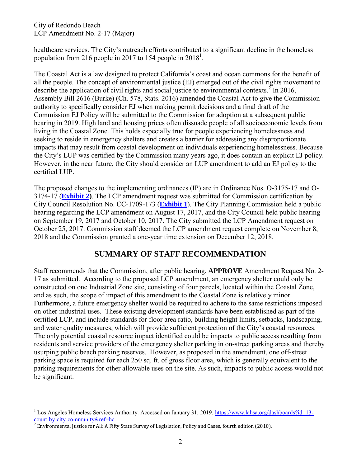City of Redondo Beach LCP Amendment No. 2-17 (Major)

healthcare services. The City's outreach efforts contributed to a significant decline in the homeless population from 216 people in 2017 to 154 people in  $2018<sup>1</sup>$ .

The Coastal Act is a law designed to protect California's coast and ocean commons for the benefit of all the people. The concept of environmental justice (EJ) emerged out of the civil rights movement to describe the application of civil rights and social justice to environmental contexts.<sup>2</sup> In 2016, Assembly Bill 2616 (Burke) (Ch. 578, Stats. 2016) amended the Coastal Act to give the Commission authority to specifically consider EJ when making permit decisions and a final draft of the Commission EJ Policy will be submitted to the Commission for adoption at a subsequent public hearing in 2019. High land and housing prices often dissuade people of all socioeconomic levels from living in the Coastal Zone. This holds especially true for people experiencing homelessness and seeking to reside in emergency shelters and creates a barrier for addressing any disproportionate impacts that may result from coastal development on individuals experiencing homelessness. Because the City's LUP was certified by the Commission many years ago, it does contain an explicit EJ policy. However, in the near future, the City should consider an LUP amendment to add an EJ policy to the certified LUP.

The proposed changes to the implementing ordinances (IP) are in Ordinance Nos. O-3175-17 and O-3174-17 (**[Exhibit 2\)](https://documents.coastal.ca.gov/reports/2019/3/W19a/W19a-3-2019-exhibits.pdf)**. The LCP amendment request was submitted for Commission certification by City Council Resolution No. CC-1709-173 (**[Exhibit 1](https://documents.coastal.ca.gov/reports/2019/3/W19a/W19a-3-2019-exhibits.pdf)**). The City Planning Commission held a public hearing regarding the LCP amendment on August 17, 2017, and the City Council held public hearing on September 19, 2017 and October 10, 2017. The City submitted the LCP Amendment request on October 25, 2017. Commission staff deemed the LCP amendment request complete on November 8, 2018 and the Commission granted a one-year time extension on December 12, 2018.

## **SUMMARY OF STAFF RECOMMENDATION**

Staff recommends that the Commission, after public hearing, **APPROVE** Amendment Request No. 2- 17 as submitted. According to the proposed LCP amendment, an emergency shelter could only be constructed on one Industrial Zone site, consisting of four parcels, located within the Coastal Zone, and as such, the scope of impact of this amendment to the Coastal Zone is relatively minor. Furthermore, a future emergency shelter would be required to adhere to the same restrictions imposed on other industrial uses. These existing development standards have been established as part of the certified LCP, and include standards for floor area ratio, building height limits, setbacks, landscaping, and water quality measures, which will provide sufficient protection of the City's coastal resources. The only potential coastal resource impact identified could be impacts to public access resulting from residents and service providers of the emergency shelter parking in on-street parking areas and thereby usurping public beach parking reserves. However, as proposed in the amendment, one off-street parking space is required for each 250 sq. ft. of gross floor area, which is generally equivalent to the parking requirements for other allowable uses on the site. As such, impacts to public access would not be significant.

l <sup>1</sup> Los Angeles Homeless Services Authority. Accessed on January 31, 2019. [https://www.lahsa.org/dashboards?id=13-](https://www.lahsa.org/dashboards?id=13-count-by-city-community&ref=hc)

<sup>&</sup>lt;u>[count-by-city-community&ref=hc](https://www.lahsa.org/dashboards?id=13-count-by-city-community&ref=hc)</u><br><sup>2</sup> Environmental Justice for All: A Fifty State Survey of Legislation, Policy and Cases, fourth edition (2010).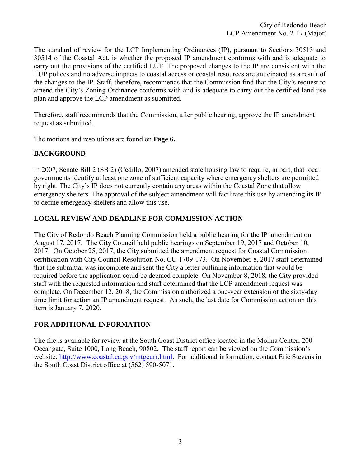City of Redondo Beach LCP Amendment No. 2-17 (Major)

The standard of review for the LCP Implementing Ordinances (IP), pursuant to Sections 30513 and 30514 of the Coastal Act, is whether the proposed IP amendment conforms with and is adequate to carry out the provisions of the certified LUP. The proposed changes to the IP are consistent with the LUP polices and no adverse impacts to coastal access or coastal resources are anticipated as a result of the changes to the IP. Staff, therefore, recommends that the Commission find that the City's request to amend the City's Zoning Ordinance conforms with and is adequate to carry out the certified land use plan and approve the LCP amendment as submitted.

Therefore, staff recommends that the Commission, after public hearing, approve the IP amendment request as submitted.

The motions and resolutions are found on **Page 6.** 

#### **BACKGROUND**

In 2007, Senate Bill 2 (SB 2) (Cedillo, 2007) amended state housing law to require, in part, that local governments identify at least one zone of sufficient capacity where emergency shelters are permitted by right. The City's IP does not currently contain any areas within the Coastal Zone that allow emergency shelters. The approval of the subject amendment will facilitate this use by amending its IP to define emergency shelters and allow this use.

#### **LOCAL REVIEW AND DEADLINE FOR COMMISSION ACTION**

The City of Redondo Beach Planning Commission held a public hearing for the IP amendment on August 17, 2017. The City Council held public hearings on September 19, 2017 and October 10, 2017. On October 25, 2017, the City submitted the amendment request for Coastal Commission certification with City Council Resolution No. CC-1709-173. On November 8, 2017 staff determined that the submittal was incomplete and sent the City a letter outlining information that would be required before the application could be deemed complete. On November 8, 2018, the City provided staff with the requested information and staff determined that the LCP amendment request was complete. On December 12, 2018, the Commission authorized a one-year extension of the sixty-day time limit for action an IP amendment request. As such, the last date for Commission action on this item is January 7, 2020.

#### **FOR ADDITIONAL INFORMATION**

The file is available for review at the South Coast District office located in the Molina Center, 200 Oceangate, Suite 1000, Long Beach, 90802. The staff report can be viewed on the Commission's website: http://www.coastal.ca.gov/mtgcurr.html. For additional information, contact Eric Stevens in the South Coast District office at (562) 590-5071.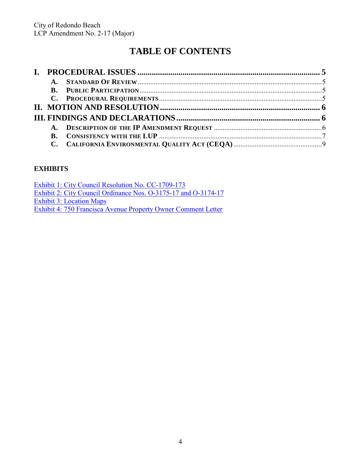# **TABLE OF CONTENTS**

|  | $\mathbf{A}$ . |  |  |
|--|----------------|--|--|
|  |                |  |  |
|  |                |  |  |

## **EXHIBITS**

| Exhibit 1: City Council Resolution No. CC-1709-173             |
|----------------------------------------------------------------|
| Exhibit 2: City Council Ordinance Nos. 0-3175-17 and 0-3174-17 |
| <b>Exhibit 3: Location Maps</b>                                |
| Exhibit 4: 750 Francisca Avenue Property Owner Comment Letter  |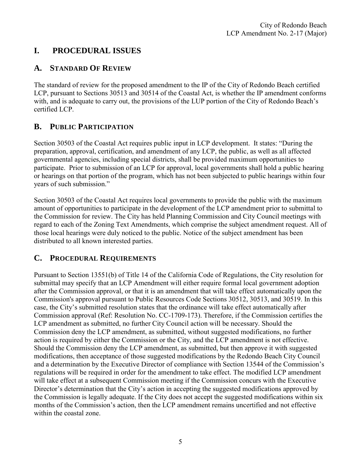## <span id="page-4-0"></span>**I. PROCEDURAL ISSUES**

## <span id="page-4-1"></span>**A. STANDARD OF REVIEW**

The standard of review for the proposed amendment to the IP of the City of Redondo Beach certified LCP, pursuant to Sections 30513 and 30514 of the Coastal Act, is whether the IP amendment conforms with, and is adequate to carry out, the provisions of the LUP portion of the City of Redondo Beach's certified LCP.

## <span id="page-4-2"></span>**B. PUBLIC PARTICIPATION**

Section 30503 of the Coastal Act requires public input in LCP development. It states: "During the preparation, approval, certification, and amendment of any LCP, the public, as well as all affected governmental agencies, including special districts, shall be provided maximum opportunities to participate. Prior to submission of an LCP for approval, local governments shall hold a public hearing or hearings on that portion of the program, which has not been subjected to public hearings within four years of such submission."

Section 30503 of the Coastal Act requires local governments to provide the public with the maximum amount of opportunities to participate in the development of the LCP amendment prior to submittal to the Commission for review. The City has held Planning Commission and City Council meetings with regard to each of the Zoning Text Amendments, which comprise the subject amendment request. All of those local hearings were duly noticed to the public. Notice of the subject amendment has been distributed to all known interested parties.

## <span id="page-4-3"></span>**C. PROCEDURAL REQUIREMENTS**

Pursuant to Section 13551(b) of Title 14 of the California Code of Regulations, the City resolution for submittal may specify that an LCP Amendment will either require formal local government adoption after the Commission approval, or that it is an amendment that will take effect automatically upon the Commission's approval pursuant to Public Resources Code Sections 30512, 30513, and 30519. In this case, the City's submitted resolution states that the ordinance will take effect automatically after Commission approval (Ref: Resolution No. CC-1709-173). Therefore, if the Commission certifies the LCP amendment as submitted, no further City Council action will be necessary. Should the Commission deny the LCP amendment, as submitted, without suggested modifications, no further action is required by either the Commission or the City, and the LCP amendment is not effective. Should the Commission deny the LCP amendment, as submitted, but then approve it with suggested modifications, then acceptance of those suggested modifications by the Redondo Beach City Council and a determination by the Executive Director of compliance with Section 13544 of the Commission's regulations will be required in order for the amendment to take effect. The modified LCP amendment will take effect at a subsequent Commission meeting if the Commission concurs with the Executive Director's determination that the City's action in accepting the suggested modifications approved by the Commission is legally adequate. If the City does not accept the suggested modifications within six months of the Commission's action, then the LCP amendment remains uncertified and not effective within the coastal zone.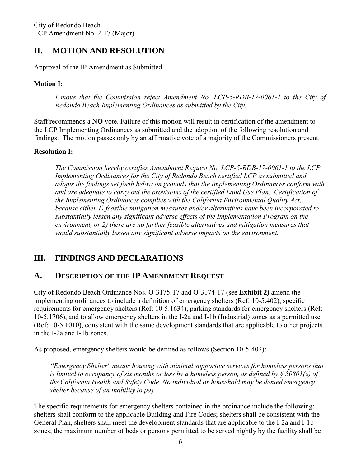## <span id="page-5-0"></span>**II. MOTION AND RESOLUTION**

Approval of the IP Amendment as Submitted

#### **Motion I:**

*I* move that the Commission reject Amendment No. LCP-5-RDB-17-0061-1 to the City of *Redondo Beach Implementing Ordinances as submitted by the City.* 

Staff recommends a **NO** vote. Failure of this motion will result in certification of the amendment to the LCP Implementing Ordinances as submitted and the adoption of the following resolution and findings. The motion passes only by an affirmative vote of a majority of the Commissioners present.

#### **Resolution I:**

*The Commission hereby certifies Amendment Request No. LCP-5-RDB-17-0061-1 to the LCP Implementing Ordinances for the City of Redondo Beach certified LCP as submitted and adopts the findings set forth below on grounds that the Implementing Ordinances conform with and are adequate to carry out the provisions of the certified Land Use Plan. Certification of the Implementing Ordinances complies with the California Environmental Quality Act, because either 1) feasible mitigation measures and/or alternatives have been incorporated to substantially lessen any significant adverse effects of the Implementation Program on the environment, or 2) there are no further feasible alternatives and mitigation measures that would substantially lessen any significant adverse impacts on the environment.* 

## <span id="page-5-1"></span>**III. FINDINGS AND DECLARATIONS**

#### <span id="page-5-2"></span>**A. DESCRIPTION OF THE IP AMENDMENT REQUEST**

City of Redondo Beach Ordinance Nos. O-3175-17 and O-3174-17 (see **Exhibit 2)** amend the implementing ordinances to include a definition of emergency shelters (Ref: 10-5.402), specific requirements for emergency shelters (Ref: 10-5.1634), parking standards for emergency shelters (Ref: 10-5.1706), and to allow emergency shelters in the I-2a and I-1b (Industrial) zones as a permitted use (Ref: 10-5.1010), consistent with the same development standards that are applicable to other projects in the I-2a and I-1b zones.

As proposed, emergency shelters would be defined as follows (Section 10-5-402):

*"Emergency Shelter" means housing with minimal supportive services for homeless persons that is limited to occupancy of six months or less by a homeless person, as defined by § 50801(e) of the California Health and Safety Code. No individual or household may be denied emergency shelter because of an inability to pay.* 

The specific requirements for emergency shelters contained in the ordinance include the following: shelters shall conform to the applicable Building and Fire Codes; shelters shall be consistent with the General Plan, shelters shall meet the development standards that are applicable to the I-2a and I-1b zones; the maximum number of beds or persons permitted to be served nightly by the facility shall be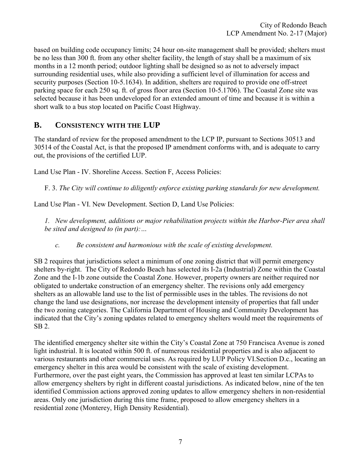based on building code occupancy limits; 24 hour on-site management shall be provided; shelters must be no less than 300 ft. from any other shelter facility, the length of stay shall be a maximum of six months in a 12 month period; outdoor lighting shall be designed so as not to adversely impact surrounding residential uses, while also providing a sufficient level of illumination for access and security purposes (Section 10-5.1634). In addition, shelters are required to provide one off-street parking space for each 250 sq. ft. of gross floor area (Section 10-5.1706). The Coastal Zone site was selected because it has been undeveloped for an extended amount of time and because it is within a short walk to a bus stop located on Pacific Coast Highway.

#### <span id="page-6-0"></span>**B. CONSISTENCY WITH THE LUP**

The standard of review for the proposed amendment to the LCP IP, pursuant to Sections 30513 and 30514 of the Coastal Act, is that the proposed IP amendment conforms with, and is adequate to carry out, the provisions of the certified LUP.

Land Use Plan - IV. Shoreline Access. Section F, Access Policies:

F. 3. *The City will continue to diligently enforce existing parking standards for new development.* 

Land Use Plan - VI. New Development. Section D, Land Use Policies:

*1. New development, additions or major rehabilitation projects within the Harbor-Pier area shall be sited and designed to (in part):…* 

*c. Be consistent and harmonious with the scale of existing development.* 

SB 2 requires that jurisdictions select a minimum of one zoning district that will permit emergency shelters by-right. The City of Redondo Beach has selected its I-2a (Industrial) Zone within the Coastal Zone and the I-1b zone outside the Coastal Zone. However, property owners are neither required nor obligated to undertake construction of an emergency shelter. The revisions only add emergency shelters as an allowable land use to the list of permissible uses in the tables. The revisions do not change the land use designations, nor increase the development intensity of properties that fall under the two zoning categories. The California Department of Housing and Community Development has indicated that the City's zoning updates related to emergency shelters would meet the requirements of SB 2.

The identified emergency shelter site within the City's Coastal Zone at 750 Francisca Avenue is zoned light industrial. It is located within 500 ft. of numerous residential properties and is also adjacent to various restaurants and other commercial uses. As required by LUP Policy VI.Section D.c., locating an emergency shelter in this area would be consistent with the scale of existing development. Furthermore, over the past eight years, the Commission has approved at least ten similar LCPAs to allow emergency shelters by right in different coastal jurisdictions. As indicated below, nine of the ten identified Commission actions approved zoning updates to allow emergency shelters in non-residential areas. Only one jurisdiction during this time frame, proposed to allow emergency shelters in a residential zone (Monterey, High Density Residential).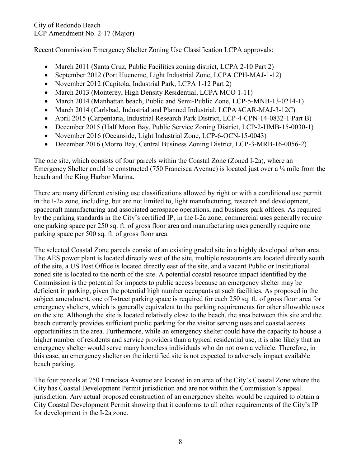Recent Commission Emergency Shelter Zoning Use Classification LCPA approvals:

- March 2011 (Santa Cruz, Public Facilities zoning district, LCPA 2-10 Part 2)
- September 2012 (Port Hueneme, Light Industrial Zone, LCPA CPH-MAJ-1-12)
- November 2012 (Capitola, Industrial Park, LCPA 1-12 Part 2)
- March 2013 (Monterey, High Density Residential, LCPA MCO 1-11)
- March 2014 (Manhattan beach, Public and Semi-Public Zone, LCP-5-MNB-13-0214-1)
- March 2014 (Carlsbad, Industrial and Planned Industrial, LCPA #CAR-MAJ-3-12C)
- April 2015 (Carpentaria, Industrial Research Park District, LCP-4-CPN-14-0832-1 Part B)
- December 2015 (Half Moon Bay, Public Service Zoning District, LCP-2-HMB-15-0030-1)
- November 2016 (Oceanside, Light Industrial Zone, LCP-6-OCN-15-0043)
- December 2016 (Morro Bay, Central Business Zoning District, LCP-3-MRB-16-0056-2)

The one site, which consists of four parcels within the Coastal Zone (Zoned I-2a), where an Emergency Shelter could be constructed (750 Francisca Avenue) is located just over a  $\frac{1}{4}$  mile from the beach and the King Harbor Marina.

There are many different existing use classifications allowed by right or with a conditional use permit in the I-2a zone, including, but are not limited to, light manufacturing, research and development, spacecraft manufacturing and associated aerospace operations, and business park offices. As required by the parking standards in the City's certified IP, in the I-2a zone, commercial uses generally require one parking space per 250 sq. ft. of gross floor area and manufacturing uses generally require one parking space per 500 sq. ft. of gross floor area.

The selected Coastal Zone parcels consist of an existing graded site in a highly developed urban area. The AES power plant is located directly west of the site, multiple restaurants are located directly south of the site, a US Post Office is located directly east of the site, and a vacant Public or Institutional zoned site is located to the north of the site. A potential coastal resource impact identified by the Commission is the potential for impacts to public access because an emergency shelter may be deficient in parking, given the potential high number occupants at such facilities. As proposed in the subject amendment, one off-street parking space is required for each 250 sq. ft. of gross floor area for emergency shelters, which is generally equivalent to the parking requirements for other allowable uses on the site. Although the site is located relatively close to the beach, the area between this site and the beach currently provides sufficient public parking for the visitor serving uses and coastal access opportunities in the area. Furthermore, while an emergency shelter could have the capacity to house a higher number of residents and service providers than a typical residential use, it is also likely that an emergency shelter would serve many homeless individuals who do not own a vehicle. Therefore, in this case, an emergency shelter on the identified site is not expected to adversely impact available beach parking.

The four parcels at 750 Francisca Avenue are located in an area of the City's Coastal Zone where the City has Coastal Development Permit jurisdiction and are not within the Commission's appeal jurisdiction. Any actual proposed construction of an emergency shelter would be required to obtain a City Coastal Development Permit showing that it conforms to all other requirements of the City's IP for development in the I-2a zone.